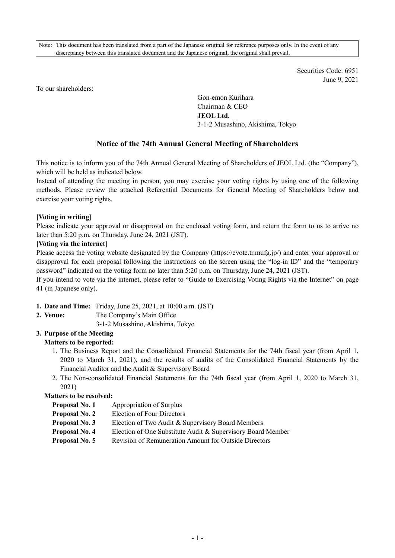Note: This document has been translated from a part of the Japanese original for reference purposes only. In the event of any discrepancy between this translated document and the Japanese original, the original shall prevail.

> Securities Code: 6951 June 9, 2021

To our shareholders:

Gon-emon Kurihara Chairman & CEO **JEOL Ltd.**  3-1-2 Musashino, Akishima, Tokyo

# **Notice of the 74th Annual General Meeting of Shareholders**

This notice is to inform you of the 74th Annual General Meeting of Shareholders of JEOL Ltd. (the "Company"), which will be held as indicated below.

Instead of attending the meeting in person, you may exercise your voting rights by using one of the following methods. Please review the attached Referential Documents for General Meeting of Shareholders below and exercise your voting rights.

#### **[Voting in writing]**

Please indicate your approval or disapproval on the enclosed voting form, and return the form to us to arrive no later than 5:20 p.m. on Thursday, June 24, 2021 (JST).

#### **[Voting via the internet]**

Please access the voting website designated by the Company (https://evote.tr.mufg.jp/) and enter your approval or disapproval for each proposal following the instructions on the screen using the "log-in ID" and the "temporary password" indicated on the voting form no later than 5:20 p.m. on Thursday, June 24, 2021 (JST).

If you intend to vote via the internet, please refer to "Guide to Exercising Voting Rights via the Internet" on page 41 (in Japanese only).

- **1. Date and Time:** Friday, June 25, 2021, at 10:00 a.m. (JST)
- **2. Venue:** The Company's Main Office
	- 3-1-2 Musashino, Akishima, Tokyo

## **3. Purpose of the Meeting**

# **Matters to be reported:**

- 1. The Business Report and the Consolidated Financial Statements for the 74th fiscal year (from April 1, 2020 to March 31, 2021), and the results of audits of the Consolidated Financial Statements by the Financial Auditor and the Audit & Supervisory Board
- 2. The Non-consolidated Financial Statements for the 74th fiscal year (from April 1, 2020 to March 31, 2021)

## **Matters to be resolved:**

- **Proposal No. 1** Appropriation of Surplus
- **Proposal No. 2** Election of Four Directors
- **Proposal No. 3** Election of Two Audit & Supervisory Board Members
- **Proposal No. 4** Election of One Substitute Audit & Supervisory Board Member
- **Proposal No. 5** Revision of Remuneration Amount for Outside Directors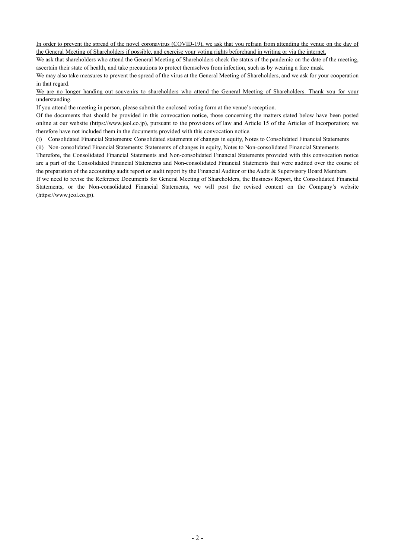In order to prevent the spread of the novel coronavirus (COVID-19), we ask that you refrain from attending the venue on the day of the General Meeting of Shareholders if possible, and exercise your voting rights beforehand in writing or via the internet.

We ask that shareholders who attend the General Meeting of Shareholders check the status of the pandemic on the date of the meeting, ascertain their state of health, and take precautions to protect themselves from infection, such as by wearing a face mask.

We may also take measures to prevent the spread of the virus at the General Meeting of Shareholders, and we ask for your cooperation in that regard.

#### We are no longer handing out souvenirs to shareholders who attend the General Meeting of Shareholders. Thank you for your understanding.

If you attend the meeting in person, please submit the enclosed voting form at the venue's reception.

Of the documents that should be provided in this convocation notice, those concerning the matters stated below have been posted online at our website (https://www.jeol.co.jp), pursuant to the provisions of law and Article 15 of the Articles of Incorporation; we therefore have not included them in the documents provided with this convocation notice.

(i) Consolidated Financial Statements: Consolidated statements of changes in equity, Notes to Consolidated Financial Statements

(ii) Non-consolidated Financial Statements: Statements of changes in equity, Notes to Non-consolidated Financial Statements

Therefore, the Consolidated Financial Statements and Non-consolidated Financial Statements provided with this convocation notice are a part of the Consolidated Financial Statements and Non-consolidated Financial Statements that were audited over the course of the preparation of the accounting audit report or audit report by the Financial Auditor or the Audit & Supervisory Board Members.

If we need to revise the Reference Documents for General Meeting of Shareholders, the Business Report, the Consolidated Financial Statements, or the Non-consolidated Financial Statements, we will post the revised content on the Company's website (https://www.jeol.co.jp).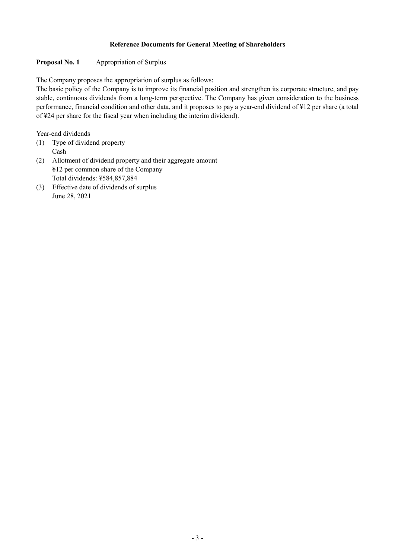## **Reference Documents for General Meeting of Shareholders**

# **Proposal No. 1 Appropriation of Surplus**

The Company proposes the appropriation of surplus as follows:

The basic policy of the Company is to improve its financial position and strengthen its corporate structure, and pay stable, continuous dividends from a long-term perspective. The Company has given consideration to the business performance, financial condition and other data, and it proposes to pay a year-end dividend of ¥12 per share (a total of ¥24 per share for the fiscal year when including the interim dividend).

Year-end dividends

- (1) Type of dividend property Cash
- (2) Allotment of dividend property and their aggregate amount ¥12 per common share of the Company Total dividends: ¥584,857,884
- (3) Effective date of dividends of surplus June 28, 2021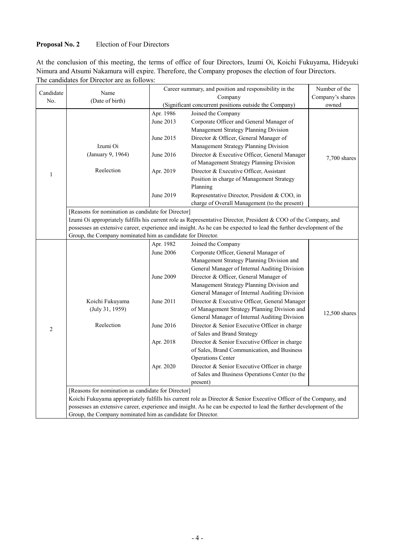# **Proposal No. 2** Election of Four Directors

At the conclusion of this meeting, the terms of office of four Directors, Izumi Oi, Koichi Fukuyama, Hideyuki Nimura and Atsumi Nakamura will expire. Therefore, the Company proposes the election of four Directors. The candidates for Director are as follows:

| Candidate      | Name                                                                                                                | Career summary, and position and responsibility in the |                                                                                                                     | Number of the |  |  |
|----------------|---------------------------------------------------------------------------------------------------------------------|--------------------------------------------------------|---------------------------------------------------------------------------------------------------------------------|---------------|--|--|
| No.            | (Date of birth)                                                                                                     |                                                        | Company's shares                                                                                                    |               |  |  |
|                |                                                                                                                     | (Significant concurrent positions outside the Company) |                                                                                                                     | owned         |  |  |
|                |                                                                                                                     | Apr. 1986                                              | Joined the Company                                                                                                  |               |  |  |
|                |                                                                                                                     | June 2013                                              | Corporate Officer and General Manager of                                                                            |               |  |  |
|                |                                                                                                                     |                                                        | Management Strategy Planning Division                                                                               |               |  |  |
|                |                                                                                                                     | June 2015                                              | Director & Officer, General Manager of                                                                              |               |  |  |
|                | Izumi Oi                                                                                                            |                                                        | Management Strategy Planning Division                                                                               |               |  |  |
| $\mathbf{1}$   | (January 9, 1964)                                                                                                   | June 2016                                              | Director & Executive Officer, General Manager                                                                       |               |  |  |
|                |                                                                                                                     |                                                        | of Management Strategy Planning Division                                                                            | 7,700 shares  |  |  |
|                | Reelection                                                                                                          | Apr. 2019                                              | Director & Executive Officer, Assistant                                                                             |               |  |  |
|                |                                                                                                                     |                                                        | Position in charge of Management Strategy                                                                           |               |  |  |
|                |                                                                                                                     |                                                        | Planning                                                                                                            |               |  |  |
|                |                                                                                                                     | June 2019                                              | Representative Director, President & COO, in                                                                        |               |  |  |
|                |                                                                                                                     |                                                        | charge of Overall Management (to the present)                                                                       |               |  |  |
|                | [Reasons for nomination as candidate for Director]                                                                  |                                                        |                                                                                                                     |               |  |  |
|                |                                                                                                                     |                                                        | Izumi Oi appropriately fulfills his current role as Representative Director, President & COO of the Company, and    |               |  |  |
|                |                                                                                                                     |                                                        | possesses an extensive career, experience and insight. As he can be expected to lead the further development of the |               |  |  |
|                | Group, the Company nominated him as candidate for Director.                                                         |                                                        |                                                                                                                     |               |  |  |
|                |                                                                                                                     | Apr. 1982                                              | Joined the Company                                                                                                  |               |  |  |
|                |                                                                                                                     | June 2006                                              | Corporate Officer, General Manager of                                                                               |               |  |  |
|                |                                                                                                                     |                                                        | Management Strategy Planning Division and                                                                           |               |  |  |
|                |                                                                                                                     |                                                        | General Manager of Internal Auditing Division                                                                       |               |  |  |
|                |                                                                                                                     | June 2009                                              | Director & Officer, General Manager of                                                                              |               |  |  |
|                |                                                                                                                     |                                                        | Management Strategy Planning Division and                                                                           |               |  |  |
|                |                                                                                                                     |                                                        | General Manager of Internal Auditing Division                                                                       |               |  |  |
|                | Koichi Fukuyama                                                                                                     | June 2011                                              | Director & Executive Officer, General Manager                                                                       |               |  |  |
|                | (July 31, 1959)                                                                                                     |                                                        | of Management Strategy Planning Division and                                                                        |               |  |  |
|                |                                                                                                                     |                                                        | General Manager of Internal Auditing Division                                                                       | 12,500 shares |  |  |
| $\overline{2}$ | Reelection                                                                                                          | June 2016                                              | Director & Senior Executive Officer in charge                                                                       |               |  |  |
|                |                                                                                                                     |                                                        | of Sales and Brand Strategy                                                                                         |               |  |  |
|                |                                                                                                                     | Apr. 2018                                              | Director & Senior Executive Officer in charge                                                                       |               |  |  |
|                |                                                                                                                     |                                                        | of Sales, Brand Communication, and Business                                                                         |               |  |  |
|                |                                                                                                                     |                                                        | <b>Operations Center</b>                                                                                            |               |  |  |
|                |                                                                                                                     | Apr. 2020                                              | Director & Senior Executive Officer in charge                                                                       |               |  |  |
|                |                                                                                                                     |                                                        | of Sales and Business Operations Center (to the                                                                     |               |  |  |
|                |                                                                                                                     |                                                        | present)                                                                                                            |               |  |  |
|                | [Reasons for nomination as candidate for Director]                                                                  |                                                        |                                                                                                                     |               |  |  |
|                | Koichi Fukuyama appropriately fulfills his current role as Director & Senior Executive Officer of the Company, and  |                                                        |                                                                                                                     |               |  |  |
|                | possesses an extensive career, experience and insight. As he can be expected to lead the further development of the |                                                        |                                                                                                                     |               |  |  |
|                | Group, the Company nominated him as candidate for Director.                                                         |                                                        |                                                                                                                     |               |  |  |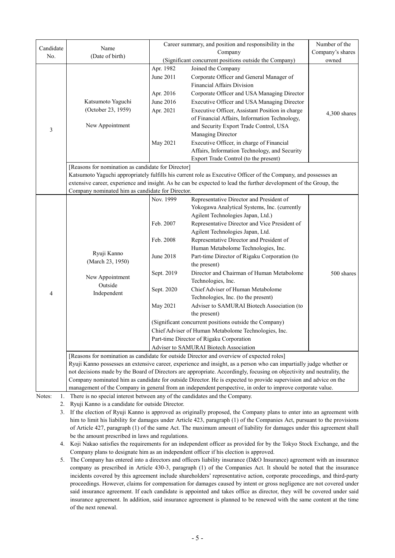| Candidate                                                                                                  | Name                                                                                                                                | Career summary, and position and responsibility in the                 | Number of the                                                                                                     |              |  |
|------------------------------------------------------------------------------------------------------------|-------------------------------------------------------------------------------------------------------------------------------------|------------------------------------------------------------------------|-------------------------------------------------------------------------------------------------------------------|--------------|--|
| No.                                                                                                        | (Date of birth)                                                                                                                     |                                                                        | Company's shares                                                                                                  |              |  |
|                                                                                                            |                                                                                                                                     | (Significant concurrent positions outside the Company)                 | owned                                                                                                             |              |  |
|                                                                                                            |                                                                                                                                     | Apr. 1982                                                              | Joined the Company                                                                                                |              |  |
|                                                                                                            |                                                                                                                                     | June 2011                                                              | Corporate Officer and General Manager of                                                                          |              |  |
|                                                                                                            |                                                                                                                                     |                                                                        | <b>Financial Affairs Division</b>                                                                                 |              |  |
|                                                                                                            |                                                                                                                                     | Apr. 2016                                                              | Corporate Officer and USA Managing Director                                                                       |              |  |
|                                                                                                            | Katsumoto Yaguchi                                                                                                                   | June 2016                                                              | Executive Officer and USA Managing Director                                                                       |              |  |
|                                                                                                            | (October 23, 1959)<br>New Appointment                                                                                               | Apr. 2021                                                              | Executive Officer, Assistant Position in charge                                                                   | 4,300 shares |  |
|                                                                                                            |                                                                                                                                     |                                                                        | of Financial Affairs, Information Technology,                                                                     |              |  |
| $\mathfrak{Z}$                                                                                             |                                                                                                                                     |                                                                        | and Security Export Trade Control, USA                                                                            |              |  |
|                                                                                                            |                                                                                                                                     |                                                                        | Managing Director                                                                                                 |              |  |
|                                                                                                            |                                                                                                                                     | May 2021                                                               | Executive Officer, in charge of Financial                                                                         |              |  |
|                                                                                                            |                                                                                                                                     |                                                                        | Affairs, Information Technology, and Security                                                                     |              |  |
|                                                                                                            |                                                                                                                                     |                                                                        | Export Trade Control (to the present)                                                                             |              |  |
|                                                                                                            | [Reasons for nomination as candidate for Director]                                                                                  |                                                                        |                                                                                                                   |              |  |
|                                                                                                            | Katsumoto Yaguchi appropriately fulfills his current role as Executive Officer of the Company, and possesses an                     |                                                                        |                                                                                                                   |              |  |
|                                                                                                            |                                                                                                                                     |                                                                        | extensive career, experience and insight. As he can be expected to lead the further development of the Group, the |              |  |
|                                                                                                            | Company nominated him as candidate for Director.                                                                                    |                                                                        |                                                                                                                   |              |  |
|                                                                                                            |                                                                                                                                     | Nov. 1999                                                              | Representative Director and President of                                                                          |              |  |
|                                                                                                            |                                                                                                                                     |                                                                        | Yokogawa Analytical Systems, Inc. (currently                                                                      |              |  |
|                                                                                                            |                                                                                                                                     |                                                                        | Agilent Technologies Japan, Ltd.)                                                                                 |              |  |
|                                                                                                            | Ryuji Kanno<br>(March 23, 1950)                                                                                                     | Feb. 2007                                                              | Representative Director and Vice President of                                                                     |              |  |
|                                                                                                            |                                                                                                                                     |                                                                        | Agilent Technologies Japan, Ltd.                                                                                  |              |  |
|                                                                                                            |                                                                                                                                     | Feb. 2008                                                              | Representative Director and President of                                                                          |              |  |
|                                                                                                            |                                                                                                                                     |                                                                        | Human Metabolome Technologies, Inc.                                                                               |              |  |
|                                                                                                            |                                                                                                                                     | June 2018                                                              | Part-time Director of Rigaku Corporation (to                                                                      |              |  |
|                                                                                                            | New Appointment<br>Outside<br>Independent                                                                                           |                                                                        | the present)                                                                                                      |              |  |
|                                                                                                            |                                                                                                                                     | Sept. 2019                                                             | Director and Chairman of Human Metabolome                                                                         | 500 shares   |  |
|                                                                                                            |                                                                                                                                     |                                                                        | Technologies, Inc.                                                                                                |              |  |
| 4                                                                                                          |                                                                                                                                     | Sept. 2020                                                             | Chief Adviser of Human Metabolome                                                                                 |              |  |
|                                                                                                            |                                                                                                                                     |                                                                        | Technologies, Inc. (to the present)                                                                               |              |  |
|                                                                                                            |                                                                                                                                     | May 2021                                                               | Adviser to SAMURAI Biotech Association (to                                                                        |              |  |
|                                                                                                            |                                                                                                                                     | the present)<br>(Significant concurrent positions outside the Company) |                                                                                                                   |              |  |
|                                                                                                            |                                                                                                                                     |                                                                        |                                                                                                                   |              |  |
|                                                                                                            |                                                                                                                                     | Chief Adviser of Human Metabolome Technologies, Inc.                   |                                                                                                                   |              |  |
|                                                                                                            |                                                                                                                                     | Part-time Director of Rigaku Corporation                               |                                                                                                                   |              |  |
|                                                                                                            | Adviser to SAMURAI Biotech Association<br>[Reasons for nomination as candidate for outside Director and overview of expected roles] |                                                                        |                                                                                                                   |              |  |
|                                                                                                            | Ryuji Kanno possesses an extensive career, experience and insight, as a person who can impartially judge whether or                 |                                                                        |                                                                                                                   |              |  |
|                                                                                                            | not decisions made by the Board of Directors are appropriate. Accordingly, focusing on objectivity and neutrality, the              |                                                                        |                                                                                                                   |              |  |
|                                                                                                            | Company nominated him as candidate for outside Director. He is expected to provide supervision and advice on the                    |                                                                        |                                                                                                                   |              |  |
| management of the Company in general from an independent perspective, in order to improve corporate value. |                                                                                                                                     |                                                                        |                                                                                                                   |              |  |
| Notes:<br>1.                                                                                               | There is no special interest between any of the candidates and the Company.                                                         |                                                                        |                                                                                                                   |              |  |
|                                                                                                            |                                                                                                                                     |                                                                        |                                                                                                                   |              |  |

2. Ryuji Kanno is a candidate for outside Director.

3. If the election of Ryuji Kanno is approved as originally proposed, the Company plans to enter into an agreement with him to limit his liability for damages under Article 423, paragraph (1) of the Companies Act, pursuant to the provisions of Article 427, paragraph (1) of the same Act. The maximum amount of liability for damages under this agreement shall be the amount prescribed in laws and regulations.

4. Koji Nakao satisfies the requirements for an independent officer as provided for by the Tokyo Stock Exchange, and the Company plans to designate him as an independent officer if his election is approved.

5. The Company has entered into a directors and officers liability insurance (D&O Insurance) agreement with an insurance company as prescribed in Article 430-3, paragraph (1) of the Companies Act. It should be noted that the insurance incidents covered by this agreement include shareholders' representative action, corporate proceedings, and third-party proceedings. However, claims for compensation for damages caused by intent or gross negligence are not covered under said insurance agreement. If each candidate is appointed and takes office as director, they will be covered under said insurance agreement. In addition, said insurance agreement is planned to be renewed with the same content at the time of the next renewal.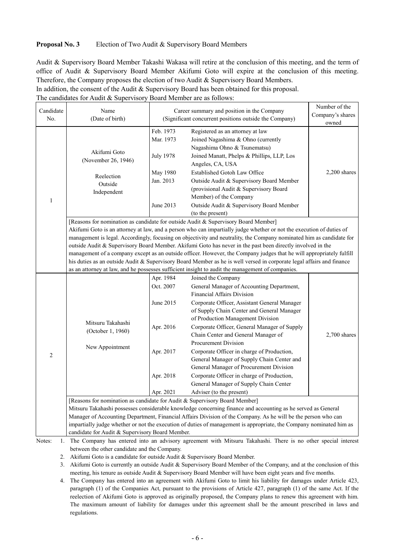#### **Proposal No. 3** Election of Two Audit & Supervisory Board Members

Audit & Supervisory Board Member Takashi Wakasa will retire at the conclusion of this meeting, and the term of office of Audit & Supervisory Board Member Akifumi Goto will expire at the conclusion of this meeting. Therefore, the Company proposes the election of two Audit & Supervisory Board Members.

In addition, the consent of the Audit & Supervisory Board has been obtained for this proposal.

The candidates for Audit & Supervisory Board Member are as follows:

| Candidate<br>No. | Name<br>(Date of birth)                                                                                                                                                                                                                                                                                                                                                                                                                                                                                                                                                                                                                                                                                                                                                                               | Career summary and position in the Company<br>(Significant concurrent positions outside the Company) |                                                                                                                                                                                                          | Number of the<br>Company's shares<br>owned |  |  |
|------------------|-------------------------------------------------------------------------------------------------------------------------------------------------------------------------------------------------------------------------------------------------------------------------------------------------------------------------------------------------------------------------------------------------------------------------------------------------------------------------------------------------------------------------------------------------------------------------------------------------------------------------------------------------------------------------------------------------------------------------------------------------------------------------------------------------------|------------------------------------------------------------------------------------------------------|----------------------------------------------------------------------------------------------------------------------------------------------------------------------------------------------------------|--------------------------------------------|--|--|
| 1                | Akifumi Goto<br>(November 26, 1946)                                                                                                                                                                                                                                                                                                                                                                                                                                                                                                                                                                                                                                                                                                                                                                   | Feb. 1973<br>Mar. 1973<br><b>July 1978</b><br>May 1980                                               | Registered as an attorney at law<br>Joined Nagashima & Ohno (currently<br>Nagashima Ohno & Tsunematsu)<br>Joined Manatt, Phelps & Phillips, LLP, Los<br>Angeles, CA, USA<br>Established Gotoh Law Office | 2,200 shares                               |  |  |
|                  | Reelection<br>Outside<br>Independent                                                                                                                                                                                                                                                                                                                                                                                                                                                                                                                                                                                                                                                                                                                                                                  | Jan. 2013<br>June 2013                                                                               | Outside Audit & Supervisory Board Member<br>(provisional Audit & Supervisory Board<br>Member) of the Company<br>Outside Audit & Supervisory Board Member<br>(to the present)                             |                                            |  |  |
|                  | [Reasons for nomination as candidate for outside Audit & Supervisory Board Member]<br>Akifumi Goto is an attorney at law, and a person who can impartially judge whether or not the execution of duties of<br>management is legal. Accordingly, focusing on objectivity and neutrality, the Company nominated him as candidate for<br>outside Audit & Supervisory Board Member. Akifumi Goto has never in the past been directly involved in the<br>management of a company except as an outside officer. However, the Company judges that he will appropriately fulfill<br>his duties as an outside Audit & Supervisory Board Member as he is well versed in corporate legal affairs and finance<br>as an attorney at law, and he possesses sufficient insight to audit the management of companies. |                                                                                                      |                                                                                                                                                                                                          |                                            |  |  |
|                  |                                                                                                                                                                                                                                                                                                                                                                                                                                                                                                                                                                                                                                                                                                                                                                                                       | Apr. 1984                                                                                            | Joined the Company                                                                                                                                                                                       |                                            |  |  |
|                  |                                                                                                                                                                                                                                                                                                                                                                                                                                                                                                                                                                                                                                                                                                                                                                                                       | Oct. 2007                                                                                            | General Manager of Accounting Department,<br><b>Financial Affairs Division</b>                                                                                                                           |                                            |  |  |
| 2                |                                                                                                                                                                                                                                                                                                                                                                                                                                                                                                                                                                                                                                                                                                                                                                                                       | June 2015                                                                                            | Corporate Officer, Assistant General Manager<br>of Supply Chain Center and General Manager<br>of Production Management Division                                                                          |                                            |  |  |
|                  | Mitsuru Takahashi<br>(October 1, 1960)                                                                                                                                                                                                                                                                                                                                                                                                                                                                                                                                                                                                                                                                                                                                                                | Apr. 2016                                                                                            | Corporate Officer, General Manager of Supply<br>Chain Center and General Manager of<br>Procurement Division                                                                                              | 2,700 shares                               |  |  |
|                  | New Appointment                                                                                                                                                                                                                                                                                                                                                                                                                                                                                                                                                                                                                                                                                                                                                                                       | Apr. 2017                                                                                            | Corporate Officer in charge of Production,<br>General Manager of Supply Chain Center and<br>General Manager of Procurement Division                                                                      |                                            |  |  |
|                  |                                                                                                                                                                                                                                                                                                                                                                                                                                                                                                                                                                                                                                                                                                                                                                                                       | Apr. 2018                                                                                            | Corporate Officer in charge of Production,<br>General Manager of Supply Chain Center                                                                                                                     |                                            |  |  |
|                  |                                                                                                                                                                                                                                                                                                                                                                                                                                                                                                                                                                                                                                                                                                                                                                                                       | Apr. 2021                                                                                            | Adviser (to the present)                                                                                                                                                                                 |                                            |  |  |
|                  | [Reasons for nomination as candidate for Audit & Supervisory Board Member]                                                                                                                                                                                                                                                                                                                                                                                                                                                                                                                                                                                                                                                                                                                            |                                                                                                      |                                                                                                                                                                                                          |                                            |  |  |
|                  | Mitsuru Takahashi possesses considerable knowledge concerning finance and accounting as he served as General                                                                                                                                                                                                                                                                                                                                                                                                                                                                                                                                                                                                                                                                                          |                                                                                                      |                                                                                                                                                                                                          |                                            |  |  |
|                  | Manager of Accounting Department, Financial Affairs Division of the Company. As he will be the person who can<br>impartially judge whether or not the execution of duties of management is appropriate, the Company nominated him as                                                                                                                                                                                                                                                                                                                                                                                                                                                                                                                                                                  |                                                                                                      |                                                                                                                                                                                                          |                                            |  |  |
|                  | candidate for Audit & Supervisory Board Member.                                                                                                                                                                                                                                                                                                                                                                                                                                                                                                                                                                                                                                                                                                                                                       |                                                                                                      |                                                                                                                                                                                                          |                                            |  |  |
| Notes:<br>1.     |                                                                                                                                                                                                                                                                                                                                                                                                                                                                                                                                                                                                                                                                                                                                                                                                       |                                                                                                      | The Company has entered into an advisory agreement with Mitsuru Takahashi. There is no other special interest                                                                                            |                                            |  |  |
|                  | between the other candidate and the Company.                                                                                                                                                                                                                                                                                                                                                                                                                                                                                                                                                                                                                                                                                                                                                          |                                                                                                      |                                                                                                                                                                                                          |                                            |  |  |
| 2.               | Akifumi Goto is a candidate for outside Audit & Supervisory Board Member.                                                                                                                                                                                                                                                                                                                                                                                                                                                                                                                                                                                                                                                                                                                             |                                                                                                      |                                                                                                                                                                                                          |                                            |  |  |

3. Akifumi Goto is currently an outside Audit & Supervisory Board Member of the Company, and at the conclusion of this meeting, his tenure as outside Audit & Supervisory Board Member will have been eight years and five months.

4. The Company has entered into an agreement with Akifumi Goto to limit his liability for damages under Article 423, paragraph (1) of the Companies Act, pursuant to the provisions of Article 427, paragraph (1) of the same Act. If the reelection of Akifumi Goto is approved as originally proposed, the Company plans to renew this agreement with him. The maximum amount of liability for damages under this agreement shall be the amount prescribed in laws and regulations.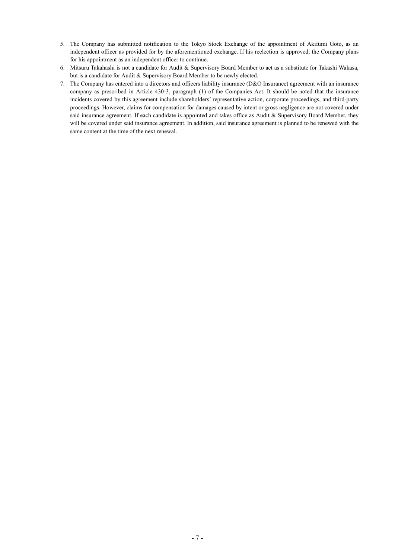- 5. The Company has submitted notification to the Tokyo Stock Exchange of the appointment of Akifumi Goto, as an independent officer as provided for by the aforementioned exchange. If his reelection is approved, the Company plans for his appointment as an independent officer to continue.
- 6. Mitsuru Takahashi is not a candidate for Audit & Supervisory Board Member to act as a substitute for Takashi Wakasa, but is a candidate for Audit & Supervisory Board Member to be newly elected.
- 7. The Company has entered into a directors and officers liability insurance (D&O Insurance) agreement with an insurance company as prescribed in Article 430-3, paragraph (1) of the Companies Act. It should be noted that the insurance incidents covered by this agreement include shareholders' representative action, corporate proceedings, and third-party proceedings. However, claims for compensation for damages caused by intent or gross negligence are not covered under said insurance agreement. If each candidate is appointed and takes office as Audit & Supervisory Board Member, they will be covered under said insurance agreement. In addition, said insurance agreement is planned to be renewed with the same content at the time of the next renewal.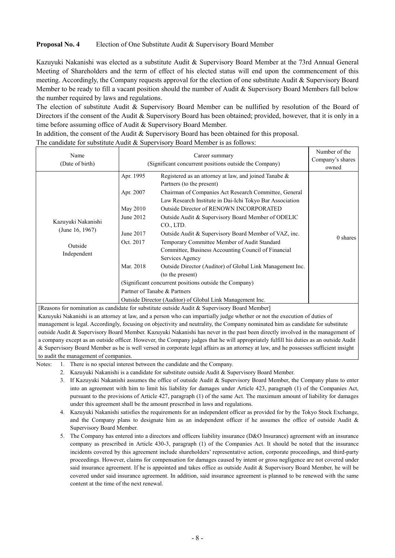#### **Proposal No. 4** Election of One Substitute Audit & Supervisory Board Member

Kazuyuki Nakanishi was elected as a substitute Audit & Supervisory Board Member at the 73rd Annual General Meeting of Shareholders and the term of effect of his elected status will end upon the commencement of this meeting. Accordingly, the Company requests approval for the election of one substitute Audit & Supervisory Board Member to be ready to fill a vacant position should the number of Audit & Supervisory Board Members fall below the number required by laws and regulations.

The election of substitute Audit & Supervisory Board Member can be nullified by resolution of the Board of Directors if the consent of the Audit & Supervisory Board has been obtained; provided, however, that it is only in a time before assuming office of Audit & Supervisory Board Member.

In addition, the consent of the Audit & Supervisory Board has been obtained for this proposal.

| The candidate for substitute Audit & Supervisory Board Member is as follows: |  |  |
|------------------------------------------------------------------------------|--|--|
|                                                                              |  |  |

| Name<br>(Date of birth)                                         | (Significant concurrent positions outside the Company)                                 | Number of the<br>Company's shares<br>owned                                                                                                                                                                                                                                                                                                                                                                                                                                                                                                                                                                                                                                                                                                       |            |
|-----------------------------------------------------------------|----------------------------------------------------------------------------------------|--------------------------------------------------------------------------------------------------------------------------------------------------------------------------------------------------------------------------------------------------------------------------------------------------------------------------------------------------------------------------------------------------------------------------------------------------------------------------------------------------------------------------------------------------------------------------------------------------------------------------------------------------------------------------------------------------------------------------------------------------|------------|
| Kazuyuki Nakanishi<br>(June 16, 1967)<br>Outside<br>Independent | Apr. 1995<br>Apr. 2007<br>May 2010<br>June 2012<br>June 2017<br>Oct. 2017<br>Mar. 2018 | Registered as an attorney at law, and joined Tanabe &<br>Partners (to the present)<br>Chairman of Companies Act Research Committee, General<br>Law Research Institute in Dai-Ichi Tokyo Bar Association<br>Outside Director of RENOWN INCORPORATED<br>Outside Audit & Supervisory Board Member of ODELIC<br>CO., LTD.<br>Outside Audit & Supervisory Board Member of VAZ, inc.<br>Temporary Committee Member of Audit Standard<br>Committee, Business Accounting Council of Financial<br>Services Agency<br>Outside Director (Auditor) of Global Link Management Inc.<br>(to the present)<br>(Significant concurrent positions outside the Company)<br>Partner of Tanabe & Partners<br>Outside Director (Auditor) of Global Link Management Inc. | $0$ shares |

[Reasons for nomination as candidate for substitute outside Audit & Supervisory Board Member]

Kazuyuki Nakanishi is an attorney at law, and a person who can impartially judge whether or not the execution of duties of management is legal. Accordingly, focusing on objectivity and neutrality, the Company nominated him as candidate for substitute outside Audit & Supervisory Board Member. Kazuyuki Nakanishi has never in the past been directly involved in the management of a company except as an outside officer. However, the Company judges that he will appropriately fulfill his duties as an outside Audit & Supervisory Board Member as he is well versed in corporate legal affairs as an attorney at law, and he possesses sufficient insight to audit the management of companies.

- Notes: 1. There is no special interest between the candidate and the Company.
	- 2. Kazuyuki Nakanishi is a candidate for substitute outside Audit & Supervisory Board Member.
	- 3. If Kazuyuki Nakanishi assumes the office of outside Audit & Supervisory Board Member, the Company plans to enter into an agreement with him to limit his liability for damages under Article 423, paragraph (1) of the Companies Act, pursuant to the provisions of Article 427, paragraph (1) of the same Act. The maximum amount of liability for damages under this agreement shall be the amount prescribed in laws and regulations.
	- 4. Kazuyuki Nakanishi satisfies the requirements for an independent officer as provided for by the Tokyo Stock Exchange, and the Company plans to designate him as an independent officer if he assumes the office of outside Audit & Supervisory Board Member.
	- 5. The Company has entered into a directors and officers liability insurance (D&O Insurance) agreement with an insurance company as prescribed in Article 430-3, paragraph (1) of the Companies Act. It should be noted that the insurance incidents covered by this agreement include shareholders' representative action, corporate proceedings, and third-party proceedings. However, claims for compensation for damages caused by intent or gross negligence are not covered under said insurance agreement. If he is appointed and takes office as outside Audit & Supervisory Board Member, he will be covered under said insurance agreement. In addition, said insurance agreement is planned to be renewed with the same content at the time of the next renewal.